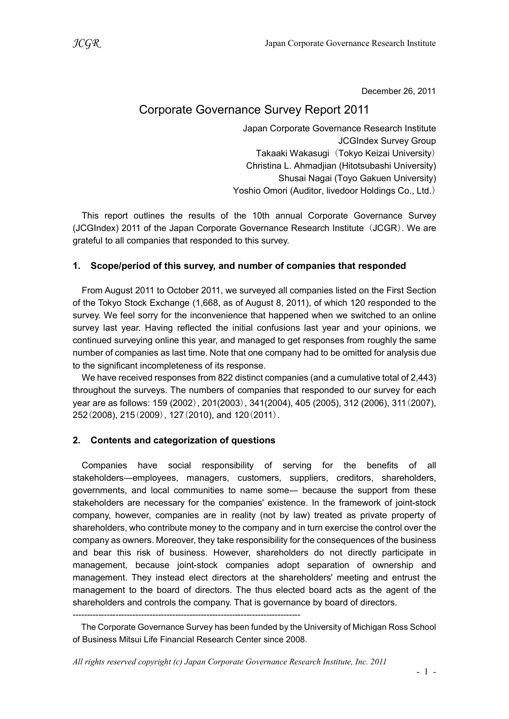December 26, 2011

# Corporate Governance Survey Report 2011

Japan Corporate Governance Research Institute JCGIndex Survey Group Takaaki Wakasugi (Tokyo Keizai University) Christina L. Ahmadjian (Hitotsubashi University) Shusai Nagai (Toyo Gakuen University) Yoshio Omori (Auditor, livedoor Holdings Co., Ltd.)

This report outlines the results of the 10th annual Corporate Governance Survey (JCGIndex) 2011 of the Japan Corporate Governance Research Institute (JCGR). We are grateful to all companies that responded to this survey.

## 1. Scope/period of this survey, and number of companies that responded

From August 2011 to October 2011, we surveyed all companies listed on the First Section of the Tokyo Stock Exchange (1,668, as of August 8, 2011), of which 120 responded to the survey. We feel sorry for the inconvenience that happened when we switched to an online survey last year. Having reflected the initial confusions last year and your opinions, we continued surveying online this year, and managed to get responses from roughly the same number of companies as last time. Note that one company had to be omitted for analysis due to the significant incompleteness of its response.

We have received responses from 822 distinct companies (and a cumulative total of 2,443) throughout the surveys. The numbers of companies that responded to our survey for each year are as follows: 159 (2002), 201(2003), 341(2004), 405 (2005), 312 (2006), 311(2007), 252(2008), 215(2009), 127(2010), and 120(2011).

## 2. Contents and categorization of questions

Companies have social responsibility of serving for the benefits of all stakeholders―employees, managers, customers, suppliers, creditors, shareholders, governments, and local communities to name some― because the support from these stakeholders are necessary for the companies' existence. In the framework of joint-stock company, however, companies are in reality (not by law) treated as private property of shareholders, who contribute money to the company and in turn exercise the control over the company as owners. Moreover, they take responsibility for the consequences of the business and bear this risk of business. However, shareholders do not directly participate in management, because joint-stock companies adopt separation of ownership and management. They instead elect directors at the shareholders' meeting and entrust the management to the board of directors. The thus elected board acts as the agent of the shareholders and controls the company. That is governance by board of directors.

<sup>--------------------------------------------------------------------------------</sup> 

The Corporate Governance Survey has been funded by the University of Michigan Ross School of Business Mitsui Life Financial Research Center since 2008.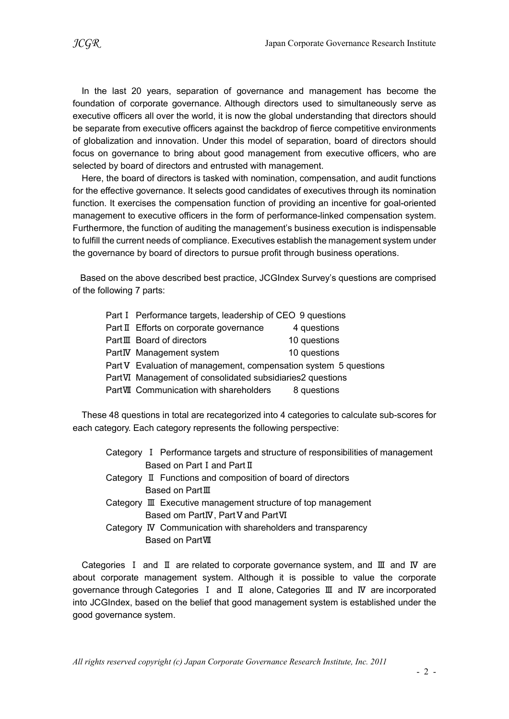In the last 20 years, separation of governance and management has become the foundation of corporate governance. Although directors used to simultaneously serve as executive officers all over the world, it is now the global understanding that directors should be separate from executive officers against the backdrop of fierce competitive environments of globalization and innovation. Under this model of separation, board of directors should focus on governance to bring about good management from executive officers, who are selected by board of directors and entrusted with management.

Here, the board of directors is tasked with nomination, compensation, and audit functions for the effective governance. It selects good candidates of executives through its nomination function. It exercises the compensation function of providing an incentive for goal-oriented management to executive officers in the form of performance-linked compensation system. Furthermore, the function of auditing the management's business execution is indispensable to fulfill the current needs of compliance. Executives establish the management system under the governance by board of directors to pursue profit through business operations.

Based on the above described best practice, JCGIndex Survey's questions are comprised of the following 7 parts:

| Part I Performance targets, leadership of CEO 9 questions        |              |  |
|------------------------------------------------------------------|--------------|--|
| Part II Efforts on corporate governance                          | 4 questions  |  |
| Part III Board of directors                                      | 10 questions |  |
| PartIV Management system                                         | 10 questions |  |
| Part V Evaluation of management, compensation system 5 questions |              |  |
| PartVI Management of consolidated subsidiaries2 questions        |              |  |
| PartVII Communication with shareholders                          | 8 questions  |  |

These 48 questions in total are recategorized into 4 categories to calculate sub-scores for each category. Each category represents the following perspective:

- Category Ⅰ Performance targets and structure of responsibilities of management Based on Part Ⅰ and Part Ⅱ
- Category Ⅱ Functions and composition of board of directors Based on PartⅢ
- Category Ⅲ Executive management structure of top management Based om PartⅣ, PartⅤand PartⅥ
- Category Ⅳ Communication with shareholders and transparency Based on PartⅦ

Categories Ⅰ and Ⅱ are related to corporate governance system, and Ⅲ and Ⅳ are about corporate management system. Although it is possible to value the corporate governance through Categories Ⅰ and Ⅱ alone, Categories Ⅲ and Ⅳ are incorporated into JCGIndex, based on the belief that good management system is established under the good governance system.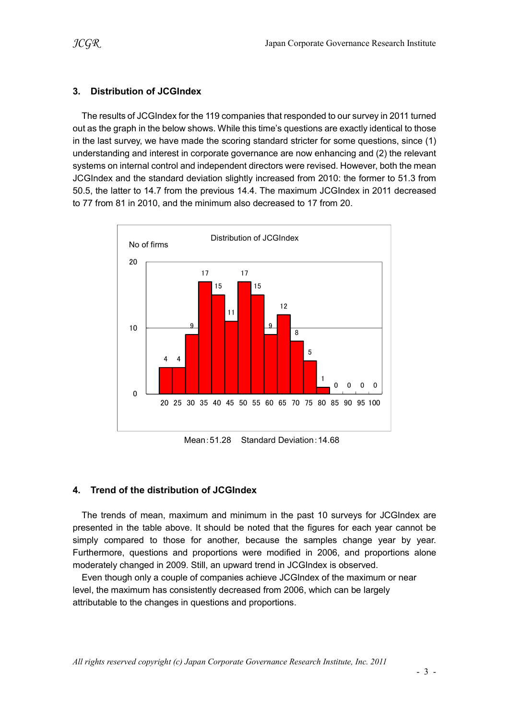## 3. Distribution of JCGIndex

The results of JCGIndex for the 119 companies that responded to our survey in 2011 turned out as the graph in the below shows. While this time's questions are exactly identical to those in the last survey, we have made the scoring standard stricter for some questions, since (1) understanding and interest in corporate governance are now enhancing and (2) the relevant systems on internal control and independent directors were revised. However, both the mean JCGIndex and the standard deviation slightly increased from 2010: the former to 51.3 from 50.5, the latter to 14.7 from the previous 14.4. The maximum JCGIndex in 2011 decreased to 77 from 81 in 2010, and the minimum also decreased to 17 from 20.



Mean:51.28 Standard Deviation:14.68

## 4. Trend of the distribution of JCGIndex

The trends of mean, maximum and minimum in the past 10 surveys for JCGIndex are presented in the table above. It should be noted that the figures for each year cannot be simply compared to those for another, because the samples change year by year. Furthermore, questions and proportions were modified in 2006, and proportions alone moderately changed in 2009. Still, an upward trend in JCGIndex is observed.

Even though only a couple of companies achieve JCGIndex of the maximum or near level, the maximum has consistently decreased from 2006, which can be largely attributable to the changes in questions and proportions.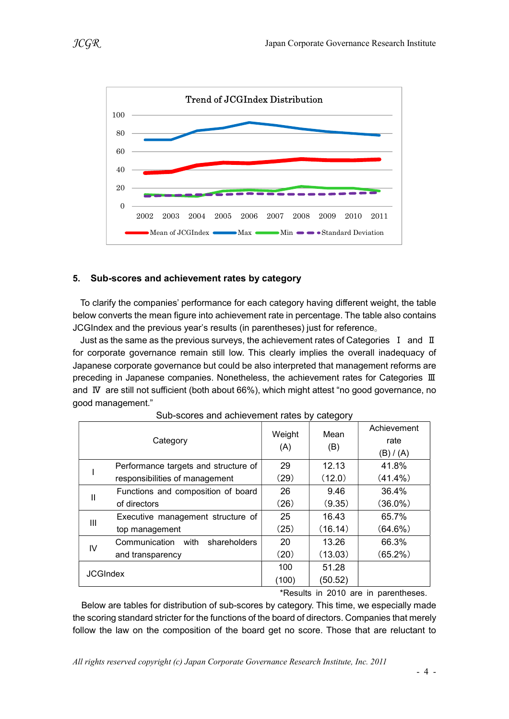

#### 5. Sub-scores and achievement rates by category

To clarify the companies' performance for each category having different weight, the table below converts the mean figure into achievement rate in percentage. The table also contains JCGIndex and the previous year's results (in parentheses) just for reference。

Just as the same as the previous surveys, the achievement rates of Categories I and II for corporate governance remain still low. This clearly implies the overall inadequacy of Japanese corporate governance but could be also interpreted that management reforms are preceding in Japanese companies. Nonetheless, the achievement rates for Categories III and Ⅳ are still not sufficient (both about 66%), which might attest "no good governance, no good management."

| Category        |                                       | Weight<br>(A) | Mean<br>(B) | Achievement<br>rate<br>(B) / (A) |
|-----------------|---------------------------------------|---------------|-------------|----------------------------------|
|                 | Performance targets and structure of  | 29            | 12.13       | 41.8%                            |
|                 | responsibilities of management        | (29)          | (12.0)      | $(41.4\%)$                       |
| Н               | Functions and composition of board    | 26            | 9.46        | 36.4%                            |
|                 | of directors                          | (26)          | (9.35)      | $(36.0\%)$                       |
| Ш               | Executive management structure of     | 25            | 16.43       | 65.7%                            |
|                 | top management                        | (25)          | (16.14)     | $(64.6\%)$                       |
| IV              | Communication<br>with<br>shareholders | 20            | 13.26       | 66.3%                            |
|                 | and transparency                      | (20)          | (13.03)     | $(65.2\%)$                       |
| <b>JCGIndex</b> |                                       | 100           | 51.28       |                                  |
|                 |                                       | (100)         | (50.52)     |                                  |

Sub-scores and achievement rates by category

\*Results in 2010 are in parentheses.

Below are tables for distribution of sub-scores by category. This time, we especially made the scoring standard stricter for the functions of the board of directors. Companies that merely follow the law on the composition of the board get no score. Those that are reluctant to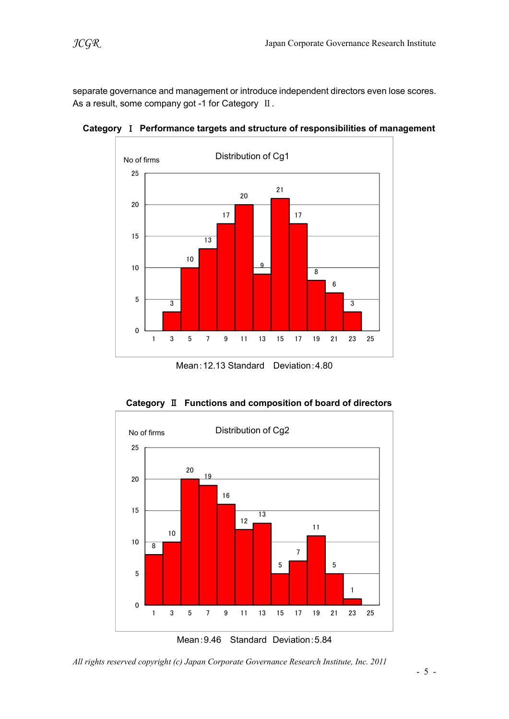separate governance and management or introduce independent directors even lose scores. As a result, some company got -1 for Category  $II$ .



Category Ⅰ Performance targets and structure of responsibilities of management

Mean:12.13 Standard Deviation:4.80



Category Ⅱ Functions and composition of board of directors

Mean:9.46 Standard Deviation:5.84

All rights reserved copyright (c) Japan Corporate Governance Research Institute, Inc. 2011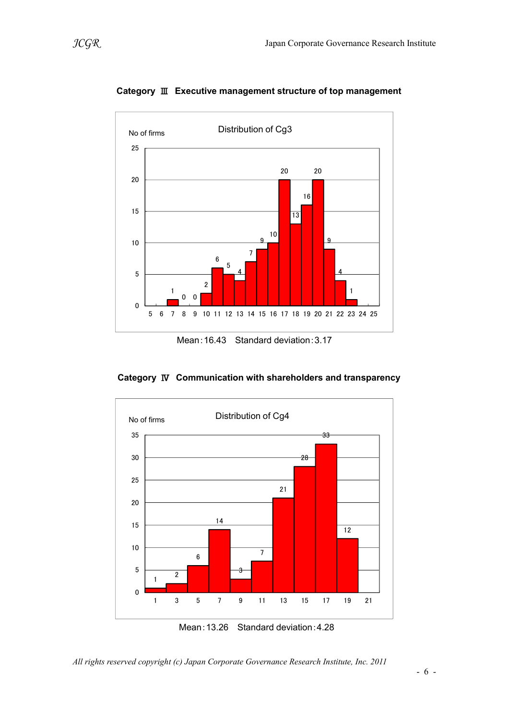

Category Ⅲ Executive management structure of top management

Mean:16.43 Standard deviation:3.17





Mean:13.26 Standard deviation:4.28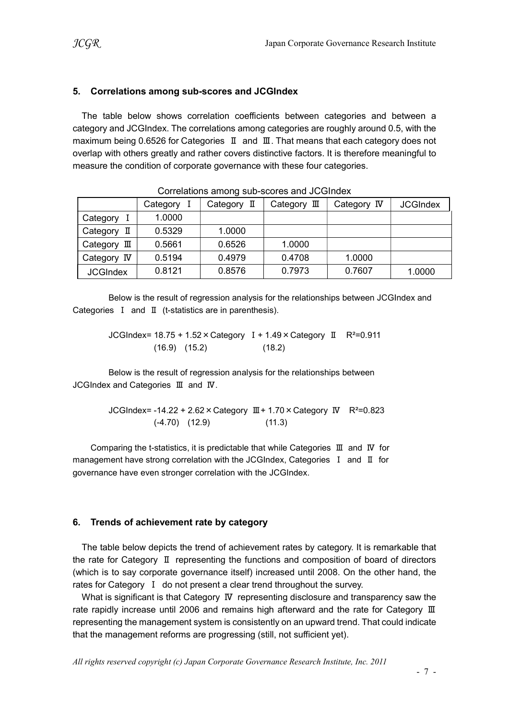### 5. Correlations among sub-scores and JCGIndex

The table below shows correlation coefficients between categories and between a category and JCGIndex. The correlations among categories are roughly around 0.5, with the maximum being 0.6526 for Categories Ⅱ and Ⅲ. That means that each category does not overlap with others greatly and rather covers distinctive factors. It is therefore meaningful to measure the condition of corporate governance with these four categories.

|                 | Category | Category II | 皿<br>Category | Category IV | <b>JCGIndex</b> |
|-----------------|----------|-------------|---------------|-------------|-----------------|
| Category        | 1.0000   |             |               |             |                 |
| Category<br>П   | 0.5329   | 1.0000      |               |             |                 |
| Ш<br>Category   | 0.5661   | 0.6526      | 1.0000        |             |                 |
| Category IV     | 0.5194   | 0.4979      | 0.4708        | 1.0000      |                 |
| <b>JCGIndex</b> | 0.8121   | 0.8576      | 0.7973        | 0.7607      | 1.0000          |

Below is the result of regression analysis for the relationships between JCGIndex and Categories Ⅰ and Ⅱ (t-statistics are in parenthesis).

JCGIndex= 18.75 + 1.52×Category Ⅰ+ 1.49×Category Ⅱ R²=0.911 (16.9) (15.2) (18.2)

Below is the result of regression analysis for the relationships between JCGIndex and Categories Ⅲ and Ⅳ.

> JCGIndex= -14.22 + 2.62×Category Ⅲ+ 1.70×Category Ⅳ R²=0.823 (-4.70) (12.9) (11.3)

Comparing the t-statistics, it is predictable that while Categories Ⅲ and Ⅳ for management have strong correlation with the JCGIndex, Categories Ⅰ and Ⅱ for governance have even stronger correlation with the JCGIndex.

#### 6. Trends of achievement rate by category

The table below depicts the trend of achievement rates by category. It is remarkable that the rate for Category Ⅱ representing the functions and composition of board of directors (which is to say corporate governance itself) increased until 2008. On the other hand, the rates for Category I do not present a clear trend throughout the survey.

What is significant is that Category **IV** representing disclosure and transparency saw the rate rapidly increase until 2006 and remains high afterward and the rate for Category Ⅲ representing the management system is consistently on an upward trend. That could indicate that the management reforms are progressing (still, not sufficient yet).

All rights reserved copyright (c) Japan Corporate Governance Research Institute, Inc. 2011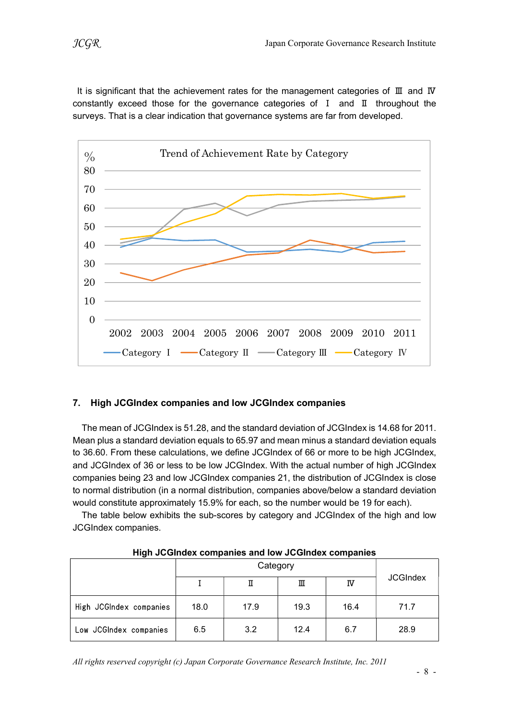It is significant that the achievement rates for the management categories of Ⅲ and Ⅳ constantly exceed those for the governance categories of Ⅰ and Ⅱ throughout the surveys. That is a clear indication that governance systems are far from developed.



#### 7. High JCGIndex companies and low JCGIndex companies

The mean of JCGIndex is 51.28, and the standard deviation of JCGIndex is 14.68 for 2011. Mean plus a standard deviation equals to 65.97 and mean minus a standard deviation equals to 36.60. From these calculations, we define JCGIndex of 66 or more to be high JCGIndex, and JCGIndex of 36 or less to be low JCGIndex. With the actual number of high JCGIndex companies being 23 and low JCGIndex companies 21, the distribution of JCGIndex is close to normal distribution (in a normal distribution, companies above/below a standard deviation would constitute approximately 15.9% for each, so the number would be 19 for each).

The table below exhibits the sub-scores by category and JCGIndex of the high and low JCGIndex companies.

|                         | Category |      |      |      |                 |  |
|-------------------------|----------|------|------|------|-----------------|--|
|                         |          | П    | Ш    | IV   | <b>JCGIndex</b> |  |
| High JCGIndex companies | 18.0     | 17.9 | 19.3 | 16.4 | 71.7            |  |
| Low JCGIndex companies  | 6.5      | 3.2  | 12.4 | 6.7  | 28.9            |  |

High JCGIndex companies and low JCGIndex companies

All rights reserved copyright (c) Japan Corporate Governance Research Institute, Inc. 2011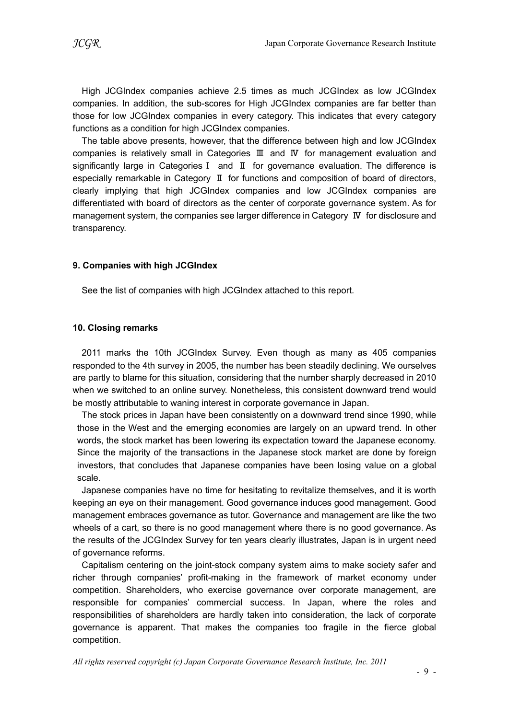High JCGIndex companies achieve 2.5 times as much JCGIndex as low JCGIndex companies. In addition, the sub-scores for High JCGIndex companies are far better than those for low JCGIndex companies in every category. This indicates that every category functions as a condition for high JCGIndex companies.

The table above presents, however, that the difference between high and low JCGIndex companies is relatively small in Categories Ⅲ and Ⅳ for management evaluation and significantly large in CategoriesⅠ and Ⅱ for governance evaluation. The difference is especially remarkable in Category Ⅱ for functions and composition of board of directors, clearly implying that high JCGIndex companies and low JCGIndex companies are differentiated with board of directors as the center of corporate governance system. As for management system, the companies see larger difference in Category Ⅳ for disclosure and transparency.

#### 9. Companies with high JCGIndex

See the list of companies with high JCGIndex attached to this report.

#### 10. Closing remarks

2011 marks the 10th JCGIndex Survey. Even though as many as 405 companies responded to the 4th survey in 2005, the number has been steadily declining. We ourselves are partly to blame for this situation, considering that the number sharply decreased in 2010 when we switched to an online survey. Nonetheless, this consistent downward trend would be mostly attributable to waning interest in corporate governance in Japan.

The stock prices in Japan have been consistently on a downward trend since 1990, while those in the West and the emerging economies are largely on an upward trend. In other words, the stock market has been lowering its expectation toward the Japanese economy. Since the majority of the transactions in the Japanese stock market are done by foreign investors, that concludes that Japanese companies have been losing value on a global scale.

Japanese companies have no time for hesitating to revitalize themselves, and it is worth keeping an eye on their management. Good governance induces good management. Good management embraces governance as tutor. Governance and management are like the two wheels of a cart, so there is no good management where there is no good governance. As the results of the JCGIndex Survey for ten years clearly illustrates, Japan is in urgent need of governance reforms.

Capitalism centering on the joint-stock company system aims to make society safer and richer through companies' profit-making in the framework of market economy under competition. Shareholders, who exercise governance over corporate management, are responsible for companies' commercial success. In Japan, where the roles and responsibilities of shareholders are hardly taken into consideration, the lack of corporate governance is apparent. That makes the companies too fragile in the fierce global competition.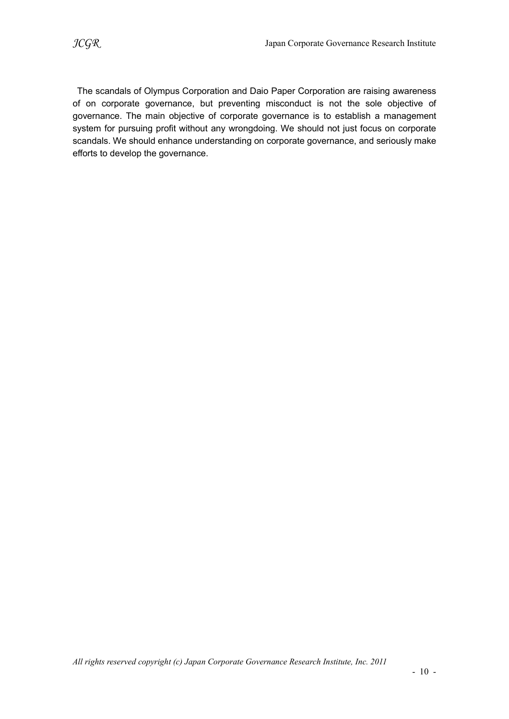The scandals of Olympus Corporation and Daio Paper Corporation are raising awareness of on corporate governance, but preventing misconduct is not the sole objective of governance. The main objective of corporate governance is to establish a management system for pursuing profit without any wrongdoing. We should not just focus on corporate scandals. We should enhance understanding on corporate governance, and seriously make efforts to develop the governance.